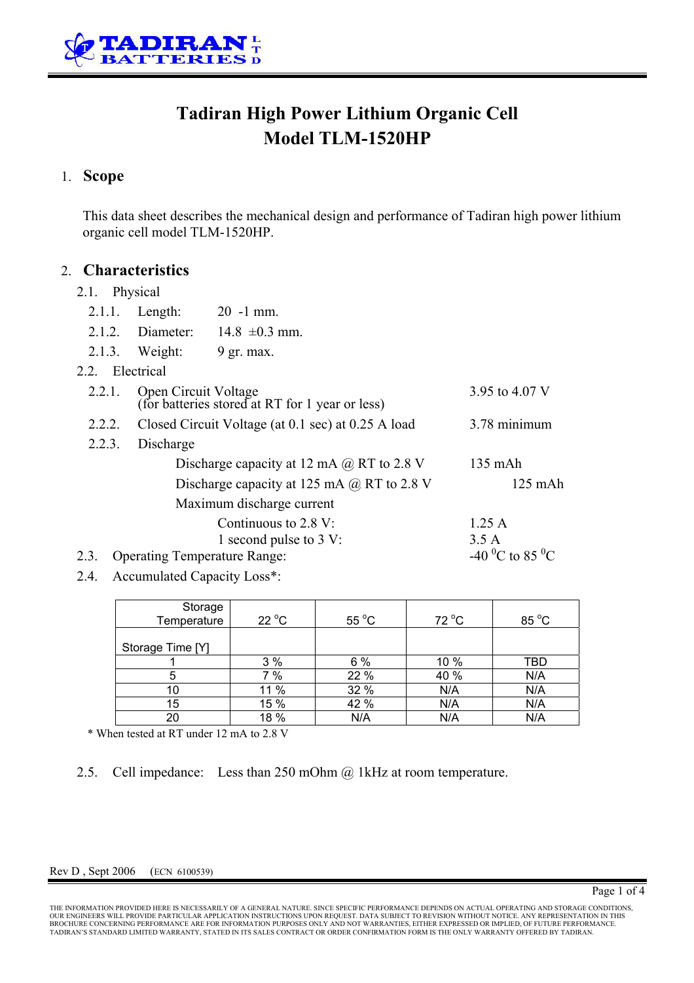

# **Tadiran High Power Lithium Organic Cell Model TLM-1520HP**

## 1. **Scope**

This data sheet describes the mechanical design and performance of Tadiran high power lithium organic cell model TLM-1520HP.

### 2. **Characteristics**

### 2.1 Physical

|                                             | $2.1.1$ . Length:                                                       | $20 - 1$ mm.                                              |               |  |  |  |
|---------------------------------------------|-------------------------------------------------------------------------|-----------------------------------------------------------|---------------|--|--|--|
|                                             | 2.1.2. Diameter:                                                        | $14.8 \pm 0.3$ mm.                                        |               |  |  |  |
|                                             | $2.1.3$ . Weight:                                                       | $9$ gr. max.                                              |               |  |  |  |
| 2.2. Electrical                             |                                                                         |                                                           |               |  |  |  |
| 2.2.1.                                      | Open Circuit Voltage<br>(for batteries stored at RT for 1 year or less) | 3.95 to 4.07 V                                            |               |  |  |  |
| 2.2.2.                                      | Closed Circuit Voltage (at 0.1 sec) at 0.25 A load                      | 3.78 minimum                                              |               |  |  |  |
| 2.2.3.                                      |                                                                         |                                                           |               |  |  |  |
|                                             | Discharge capacity at 12 mA $\omega$ RT to 2.8 V                        |                                                           | 135 mAh       |  |  |  |
|                                             | $125$ mAh                                                               |                                                           |               |  |  |  |
| Maximum discharge current                   |                                                                         |                                                           |               |  |  |  |
|                                             |                                                                         | Continuous to $2.8 \text{ V}$ :<br>1 second pulse to 3 V: | 1.25A<br>3.5A |  |  |  |
| <b>Operating Temperature Range:</b><br>2.3. | -40 <sup>o</sup> C to 85 <sup>o</sup> C                                 |                                                           |               |  |  |  |
|                                             |                                                                         |                                                           |               |  |  |  |

2.4. Accumulated Capacity Loss\*:

| Storage<br>Temperature | $22^{\circ}$ C | 55 $\mathrm{^{\circ}C}$ | 72 °C | 85 °C |
|------------------------|----------------|-------------------------|-------|-------|
|                        |                |                         |       |       |
| Storage Time [Y]       |                |                         |       |       |
|                        | 3%             | 6%                      | 10 %  | TBD   |
| 5                      | 7 %            | 22 %                    | 40 %  | N/A   |
| 10                     | 11 %           | 32 %                    | N/A   | N/A   |
| 15                     | 15 %           | 42 %                    | N/A   | N/A   |
| 20                     | 18 %           | N/A                     | N/A   | N/A   |

\* When tested at RT under 12 mA to 2.8 V

2.5. Cell impedance: Less than 250 mOhm @ 1kHz at room temperature.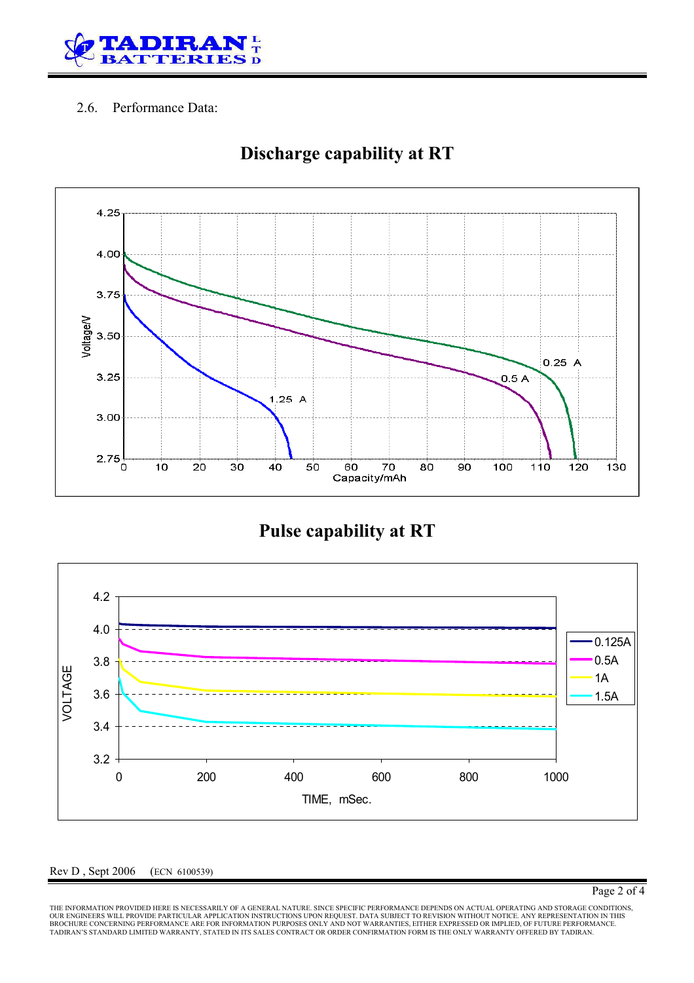

### 2.6. Performance Data:



# **Discharge capability at RT**

**Pulse capability at RT** 



#### Rev D , Sept 2006 (ECN 6100539)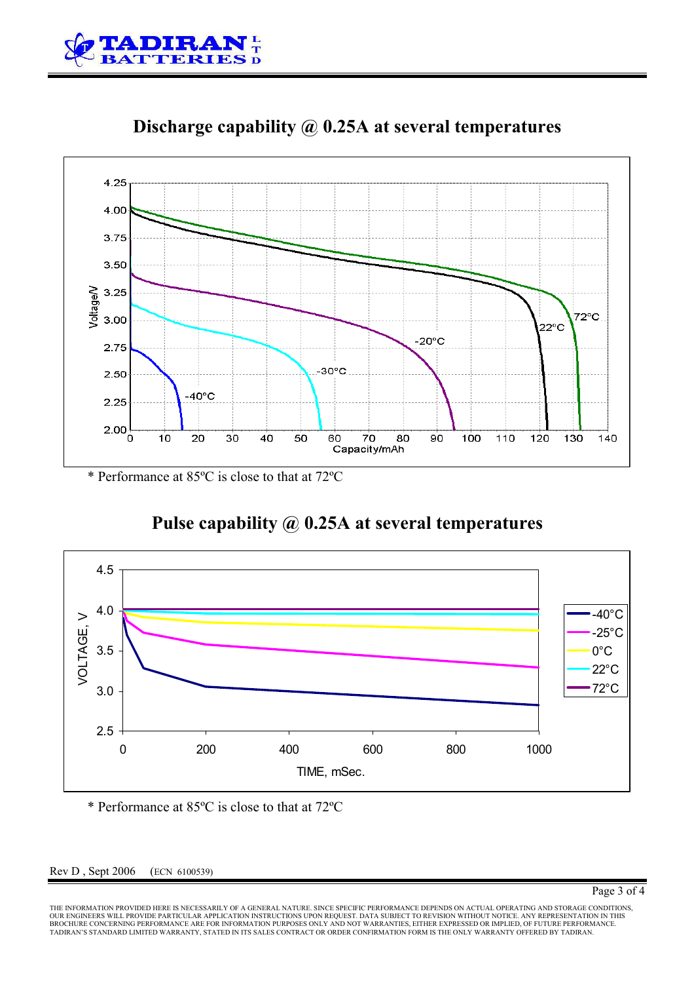



**Discharge capability @ 0.25A at several temperatures**

\* Performance at 85ºC is close to that at 72ºC

# **Pulse capability @ 0.25A at several temperatures**



\* Performance at 85ºC is close to that at 72ºC